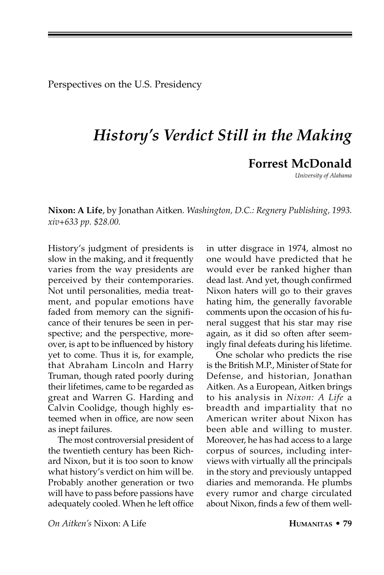Perspectives on the U.S. Presidency

## *History's Verdict Still in the Making*

## **Forrest McDonald**

*University of Alabama*

**Nixon: A Life**, by Jonathan Aitken. *Washington, D.C.: Regnery Publishing, 1993. xiv+633 pp. \$28.00.*

History's judgment of presidents is slow in the making, and it frequently varies from the way presidents are perceived by their contemporaries. Not until personalities, media treatment, and popular emotions have faded from memory can the significance of their tenures be seen in perspective; and the perspective, moreover, is apt to be influenced by history yet to come. Thus it is, for example, that Abraham Lincoln and Harry Truman, though rated poorly during their lifetimes, came to be regarded as great and Warren G. Harding and Calvin Coolidge, though highly esteemed when in office, are now seen as inept failures.

The most controversial president of the twentieth century has been Richard Nixon, but it is too soon to know what history's verdict on him will be. Probably another generation or two will have to pass before passions have adequately cooled. When he left office

in utter disgrace in 1974, almost no one would have predicted that he would ever be ranked higher than dead last. And yet, though confirmed Nixon haters will go to their graves hating him, the generally favorable comments upon the occasion of his funeral suggest that his star may rise again, as it did so often after seemingly final defeats during his lifetime.

One scholar who predicts the rise is the British M.P., Minister of State for Defense, and historian, Jonathan Aitken. As a European, Aitken brings to his analysis in *Nixon: A Life* a breadth and impartiality that no American writer about Nixon has been able and willing to muster. Moreover, he has had access to a large corpus of sources, including interviews with virtually all the principals in the story and previously untapped diaries and memoranda. He plumbs every rumor and charge circulated about Nixon, finds a few of them well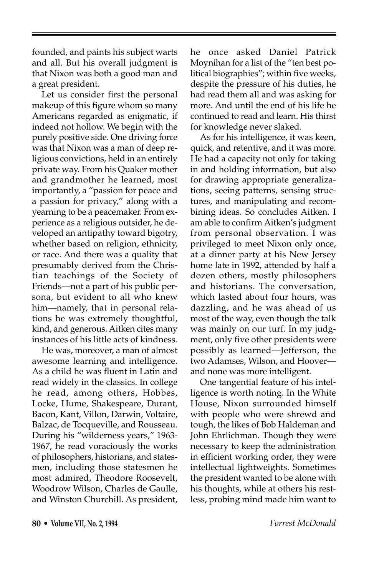founded, and paints his subject warts and all. But his overall judgment is that Nixon was both a good man and a great president.

Let us consider first the personal makeup of this figure whom so many Americans regarded as enigmatic, if indeed not hollow. We begin with the purely positive side. One driving force was that Nixon was a man of deep religious convictions, held in an entirely private way. From his Quaker mother and grandmother he learned, most importantly, a "passion for peace and a passion for privacy," along with a yearning to be a peacemaker. From experience as a religious outsider, he developed an antipathy toward bigotry, whether based on religion, ethnicity, or race. And there was a quality that presumably derived from the Christian teachings of the Society of Friends—not a part of his public persona, but evident to all who knew him—namely, that in personal relations he was extremely thoughtful, kind, and generous. Aitken cites many instances of his little acts of kindness.

He was, moreover, a man of almost awesome learning and intelligence. As a child he was fluent in Latin and read widely in the classics. In college he read, among others, Hobbes, Locke, Hume, Shakespeare, Durant, Bacon, Kant, Villon, Darwin, Voltaire, Balzac, de Tocqueville, and Rousseau. During his "wilderness years," 1963- 1967, he read voraciously the works of philosophers, historians, and statesmen, including those statesmen he most admired, Theodore Roosevelt, Woodrow Wilson, Charles de Gaulle, and Winston Churchill. As president,

he once asked Daniel Patrick Moynihan for a list of the "ten best political biographies"; within five weeks, despite the pressure of his duties, he had read them all and was asking for more. And until the end of his life he continued to read and learn. His thirst for knowledge never slaked.

As for his intelligence, it was keen, quick, and retentive, and it was more. He had a capacity not only for taking in and holding information, but also for drawing appropriate generalizations, seeing patterns, sensing structures, and manipulating and recombining ideas. So concludes Aitken. I am able to confirm Aitken's judgment from personal observation. I was privileged to meet Nixon only once, at a dinner party at his New Jersey home late in 1992, attended by half a dozen others, mostly philosophers and historians. The conversation, which lasted about four hours, was dazzling, and he was ahead of us most of the way, even though the talk was mainly on our turf. In my judgment, only five other presidents were possibly as learned—Jefferson, the two Adamses, Wilson, and Hoover and none was more intelligent.

One tangential feature of his intelligence is worth noting. In the White House, Nixon surrounded himself with people who were shrewd and tough, the likes of Bob Haldeman and John Ehrlichman. Though they were necessary to keep the administration in efficient working order, they were intellectual lightweights. Sometimes the president wanted to be alone with his thoughts, while at others his restless, probing mind made him want to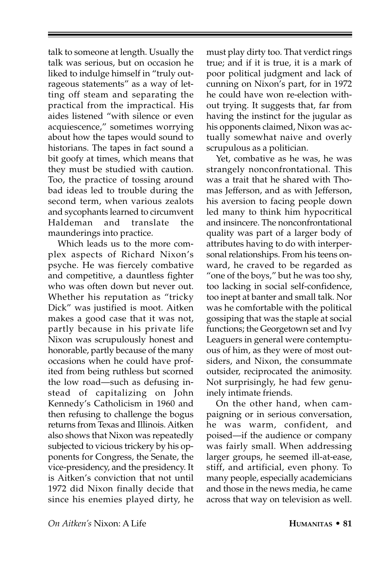talk to someone at length. Usually the talk was serious, but on occasion he liked to indulge himself in "truly outrageous statements" as a way of letting off steam and separating the practical from the impractical. His aides listened "with silence or even acquiescence," sometimes worrying about how the tapes would sound to historians. The tapes in fact sound a bit goofy at times, which means that they must be studied with caution. Too, the practice of tossing around bad ideas led to trouble during the second term, when various zealots and sycophants learned to circumvent Haldeman and translate the maunderings into practice.

Which leads us to the more complex aspects of Richard Nixon's psyche. He was fiercely combative and competitive, a dauntless fighter who was often down but never out. Whether his reputation as "tricky Dick" was justified is moot. Aitken makes a good case that it was not, partly because in his private life Nixon was scrupulously honest and honorable, partly because of the many occasions when he could have profited from being ruthless but scorned the low road—such as defusing instead of capitalizing on John Kennedy's Catholicism in 1960 and then refusing to challenge the bogus returns from Texas and Illinois. Aitken also shows that Nixon was repeatedly subjected to vicious trickery by his opponents for Congress, the Senate, the vice-presidency, and the presidency. It is Aitken's conviction that not until 1972 did Nixon finally decide that since his enemies played dirty, he

must play dirty too. That verdict rings true; and if it is true, it is a mark of poor political judgment and lack of cunning on Nixon's part, for in 1972 he could have won re-election without trying. It suggests that, far from having the instinct for the jugular as his opponents claimed, Nixon was actually somewhat naive and overly scrupulous as a politician.

Yet, combative as he was, he was strangely nonconfrontational. This was a trait that he shared with Thomas Jefferson, and as with Jefferson, his aversion to facing people down led many to think him hypocritical and insincere. The nonconfrontational quality was part of a larger body of attributes having to do with interpersonal relationships. From his teens onward, he craved to be regarded as "one of the boys," but he was too shy, too lacking in social self-confidence, too inept at banter and small talk. Nor was he comfortable with the political gossiping that was the staple at social functions; the Georgetown set and Ivy Leaguers in general were contemptuous of him, as they were of most outsiders, and Nixon, the consummate outsider, reciprocated the animosity. Not surprisingly, he had few genuinely intimate friends.

On the other hand, when campaigning or in serious conversation, he was warm, confident, and poised—if the audience or company was fairly small. When addressing larger groups, he seemed ill-at-ease, stiff, and artificial, even phony. To many people, especially academicians and those in the news media, he came across that way on television as well.

*On Aitken's* Nixon: A Life **HUMANITAS • 81**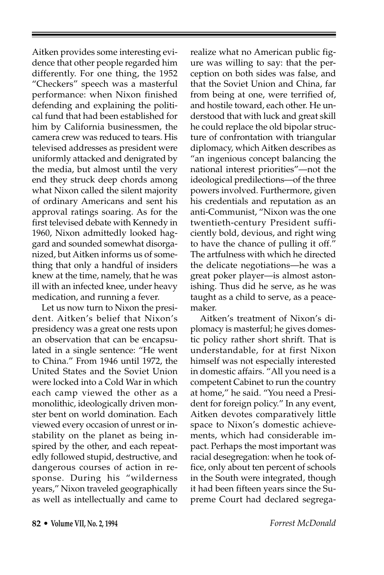Aitken provides some interesting evidence that other people regarded him differently. For one thing, the 1952 "Checkers" speech was a masterful performance: when Nixon finished defending and explaining the political fund that had been established for him by California businessmen, the camera crew was reduced to tears. His televised addresses as president were uniformly attacked and denigrated by the media, but almost until the very end they struck deep chords among what Nixon called the silent majority of ordinary Americans and sent his approval ratings soaring. As for the first televised debate with Kennedy in 1960, Nixon admittedly looked haggard and sounded somewhat disorganized, but Aitken informs us of something that only a handful of insiders knew at the time, namely, that he was ill with an infected knee, under heavy medication, and running a fever.

Let us now turn to Nixon the president. Aitken's belief that Nixon's presidency was a great one rests upon an observation that can be encapsulated in a single sentence: "He went to China." From 1946 until 1972, the United States and the Soviet Union were locked into a Cold War in which each camp viewed the other as a monolithic, ideologically driven monster bent on world domination. Each viewed every occasion of unrest or instability on the planet as being inspired by the other, and each repeatedly followed stupid, destructive, and dangerous courses of action in response. During his "wilderness years," Nixon traveled geographically as well as intellectually and came to

realize what no American public figure was willing to say: that the perception on both sides was false, and that the Soviet Union and China, far from being at one, were terrified of, and hostile toward, each other. He understood that with luck and great skill he could replace the old bipolar structure of confrontation with triangular diplomacy, which Aitken describes as "an ingenious concept balancing the national interest priorities"—not the ideological predilections—of the three powers involved. Furthermore, given his credentials and reputation as an anti-Communist, "Nixon was the one twentieth-century President sufficiently bold, devious, and right wing to have the chance of pulling it off." The artfulness with which he directed the delicate negotiations—he was a great poker player—is almost astonishing. Thus did he serve, as he was taught as a child to serve, as a peacemaker.

Aitken's treatment of Nixon's diplomacy is masterful; he gives domestic policy rather short shrift. That is understandable, for at first Nixon himself was not especially interested in domestic affairs. "All you need is a competent Cabinet to run the country at home," he said. "You need a President for foreign policy." In any event, Aitken devotes comparatively little space to Nixon's domestic achievements, which had considerable impact. Perhaps the most important was racial desegregation: when he took office, only about ten percent of schools in the South were integrated, though it had been fifteen years since the Supreme Court had declared segrega-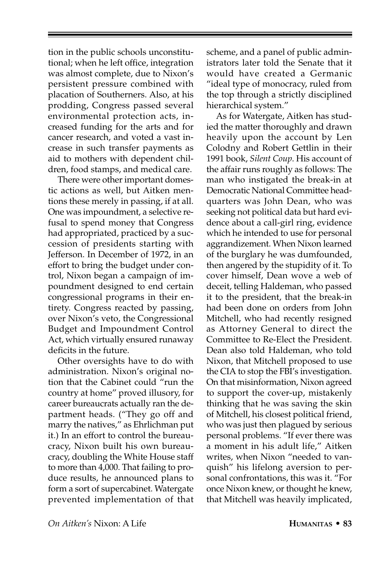tion in the public schools unconstitutional; when he left office, integration was almost complete, due to Nixon's persistent pressure combined with placation of Southerners. Also, at his prodding, Congress passed several environmental protection acts, increased funding for the arts and for cancer research, and voted a vast increase in such transfer payments as aid to mothers with dependent children, food stamps, and medical care.

There were other important domestic actions as well, but Aitken mentions these merely in passing, if at all. One was impoundment, a selective refusal to spend money that Congress had appropriated, practiced by a succession of presidents starting with Jefferson. In December of 1972, in an effort to bring the budget under control, Nixon began a campaign of impoundment designed to end certain congressional programs in their entirety. Congress reacted by passing, over Nixon's veto, the Congressional Budget and Impoundment Control Act, which virtually ensured runaway deficits in the future.

Other oversights have to do with administration. Nixon's original notion that the Cabinet could "run the country at home" proved illusory, for career bureaucrats actually ran the department heads. ("They go off and marry the natives," as Ehrlichman put it.) In an effort to control the bureaucracy, Nixon built his own bureaucracy, doubling the White House staff to more than 4,000. That failing to produce results, he announced plans to form a sort of supercabinet. Watergate prevented implementation of that scheme, and a panel of public administrators later told the Senate that it would have created a Germanic "ideal type of monocracy, ruled from the top through a strictly disciplined hierarchical system."

As for Watergate, Aitken has studied the matter thoroughly and drawn heavily upon the account by Len Colodny and Robert Gettlin in their 1991 book, *Silent Coup*. His account of the affair runs roughly as follows: The man who instigated the break-in at Democratic National Committee headquarters was John Dean, who was seeking not political data but hard evidence about a call-girl ring, evidence which he intended to use for personal aggrandizement. When Nixon learned of the burglary he was dumfounded, then angered by the stupidity of it. To cover himself, Dean wove a web of deceit, telling Haldeman, who passed it to the president, that the break-in had been done on orders from John Mitchell, who had recently resigned as Attorney General to direct the Committee to Re-Elect the President. Dean also told Haldeman, who told Nixon, that Mitchell proposed to use the CIA to stop the FBI's investigation. On that misinformation, Nixon agreed to support the cover-up, mistakenly thinking that he was saving the skin of Mitchell, his closest political friend, who was just then plagued by serious personal problems. "If ever there was a moment in his adult life," Aitken writes, when Nixon "needed to vanquish" his lifelong aversion to personal confrontations, this was it. "For once Nixon knew, or thought he knew, that Mitchell was heavily implicated,